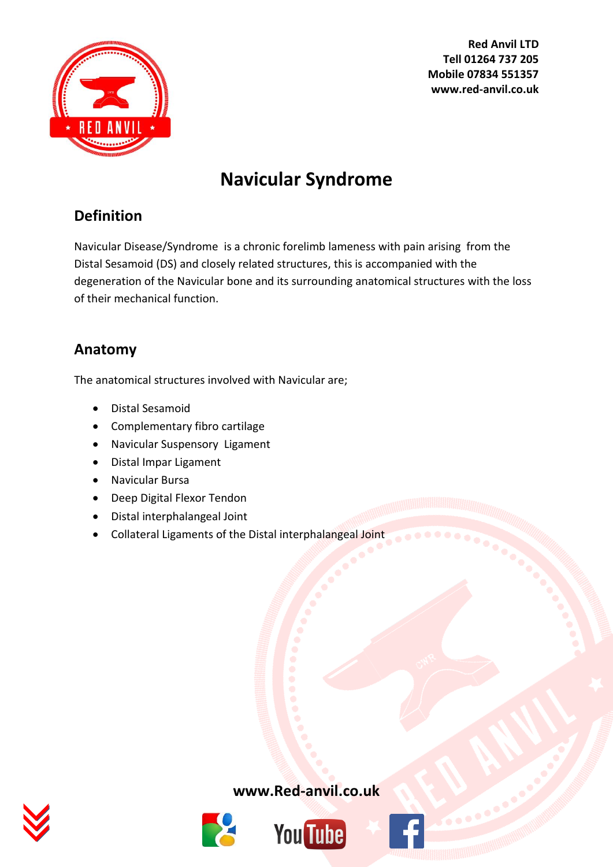

# **Navicular Syndrome**

# **Definition**

Navicular Disease/Syndrome is a chronic forelimb lameness with pain arising from the Distal Sesamoid (DS) and closely related structures, this is accompanied with the degeneration of the Navicular bone and its surrounding anatomical structures with the loss of their mechanical function.

# **Anatomy**

The anatomical structures involved with Navicular are;

- Distal Sesamoid
- Complementary fibro cartilage
- Navicular Suspensory Ligament
- Distal Impar Ligament
- Navicular Bursa
- Deep Digital Flexor Tendon
- Distal interphalangeal Joint
- Collateral Ligaments of the Distal interphalangeal Joint







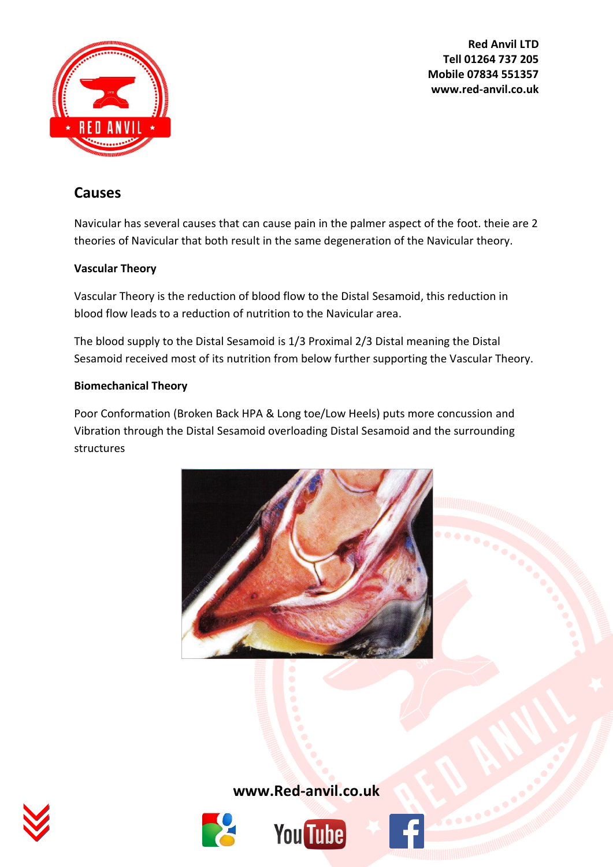

## **Causes**

Navicular has several causes that can cause pain in the palmer aspect of the foot. theie are 2 theories of Navicular that both result in the same degeneration of the Navicular theory.

### **Vascular Theory**

Vascular Theory is the reduction of blood flow to the Distal Sesamoid, this reduction in blood flow leads to a reduction of nutrition to the Navicular area.

The blood supply to the Distal Sesamoid is 1/3 Proximal 2/3 Distal meaning the Distal Sesamoid received most of its nutrition from below further supporting the Vascular Theory.

### **Biomechanical Theory**

Poor Conformation (Broken Back HPA & Long toe/Low Heels) puts more concussion and Vibration through the Distal Sesamoid overloading Distal Sesamoid and the surrounding structures









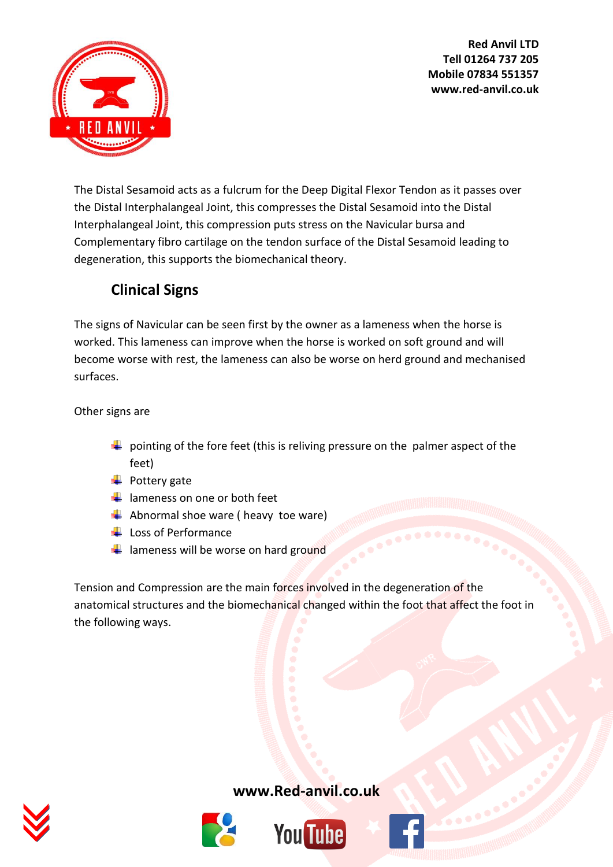



The Distal Sesamoid acts as a fulcrum for the Deep Digital Flexor Tendon as it passes over the Distal Interphalangeal Joint, this compresses the Distal Sesamoid into the Distal Interphalangeal Joint, this compression puts stress on the Navicular bursa and Complementary fibro cartilage on the tendon surface of the Distal Sesamoid leading to degeneration, this supports the biomechanical theory.

# **Clinical Signs**

The signs of Navicular can be seen first by the owner as a lameness when the horse is worked. This lameness can improve when the horse is worked on soft ground and will become worse with rest, the lameness can also be worse on herd ground and mechanised surfaces.

Other signs are

- $\downarrow$  pointing of the fore feet (this is reliving pressure on the palmer aspect of the feet)
- $\leftarrow$  Pottery gate
- $\frac{1}{2}$  lameness on one or both feet
- $\blacktriangle$  Abnormal shoe ware ( heavy toe ware)
- $\perp$  Loss of Performance
- $\frac{1}{\sqrt{2}}$  lameness will be worse on hard ground

Tension and Compression are the main forces involved in the degeneration of the anatomical structures and the biomechanical changed within the foot that affect the foot in the following ways.





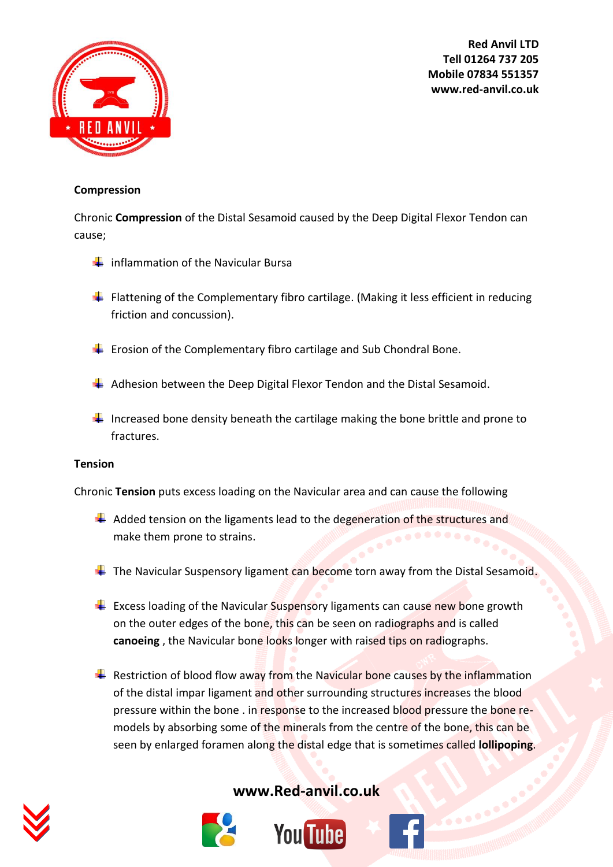

#### **Compression**

Chronic **Compression** of the Distal Sesamoid caused by the Deep Digital Flexor Tendon can cause;

- $\frac{1}{\sqrt{1}}$  inflammation of the Navicular Bursa
- $\ddot{+}$  Flattening of the Complementary fibro cartilage. (Making it less efficient in reducing friction and concussion).
- $\ddot{\phantom{1}}$  Erosion of the Complementary fibro cartilage and Sub Chondral Bone.
- $\overline{\phantom{a}}$  Adhesion between the Deep Digital Flexor Tendon and the Distal Sesamoid.
- Increased bone density beneath the cartilage making the bone brittle and prone to fractures.

#### **Tension**

Chronic **Tension** puts excess loading on the Navicular area and can cause the following

- $\ddot{\phantom{1}}$  Added tension on the ligaments lead to the degeneration of the structures and make them prone to strains.
- $\ddot$  The Navicular Suspensory ligament can become torn away from the Distal Sesamoid.
- $\ddot{+}$  Excess loading of the Navicular Suspensory ligaments can cause new bone growth on the outer edges of the bone, this can be seen on radiographs and is called **canoeing** , the Navicular bone looks longer with raised tips on radiographs.
- Restriction of blood flow away from the Navicular bone causes by the inflammation of the distal impar ligament and other surrounding structures increases the blood pressure within the bone . in response to the increased blood pressure the bone remodels by absorbing some of the minerals from the centre of the bone, this can be seen by enlarged foramen along the distal edge that is sometimes called **lollipoping**.







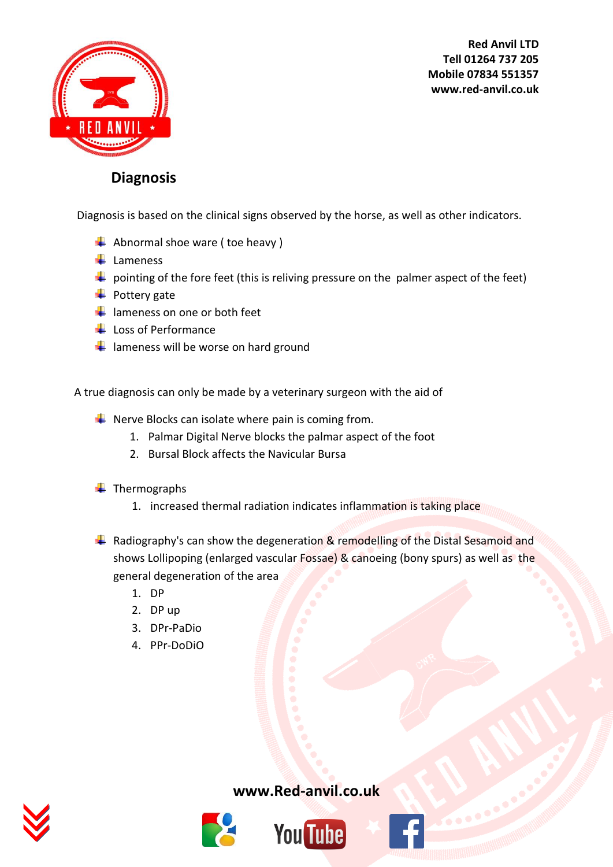

### **Diagnosis**

Diagnosis is based on the clinical signs observed by the horse, as well as other indicators.

- $\blacktriangle$  Abnormal shoe ware (toe heavy)
- $\downarrow$  Lameness
- $\downarrow$  pointing of the fore feet (this is reliving pressure on the palmer aspect of the feet)
- $\leftarrow$  Pottery gate
- $\frac{1}{2}$  lameness on one or both feet
- $\downarrow$  Loss of Performance
- $\frac{1}{\sqrt{2}}$  lameness will be worse on hard ground

A true diagnosis can only be made by a veterinary surgeon with the aid of

- $\downarrow$  Nerve Blocks can isolate where pain is coming from.
	- 1. Palmar Digital Nerve blocks the palmar aspect of the foot
	- 2. Bursal Block affects the Navicular Bursa
- $\leftarrow$  Thermographs
	- 1. increased thermal radiation indicates inflammation is taking place
- **A** Radiography's can show the degeneration  $\&$  remodelling of the Distal Sesamoid and shows Lollipoping (enlarged vascular Fossae) & canoeing (bony spurs) as well as the general degeneration of the area
	- 1. DP
	- 2. DP up
	- 3. DPr-PaDio
	- 4. PPr-DoDiO





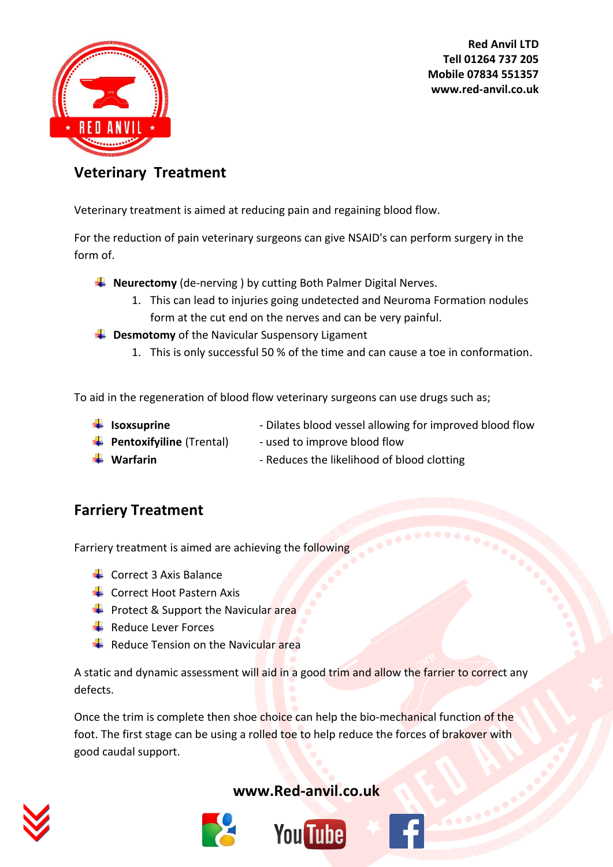

### **Veterinary Treatment**

Veterinary treatment is aimed at reducing pain and regaining blood flow.

For the reduction of pain veterinary surgeons can give NSAID's can perform surgery in the form of.

- **Neurectomy** (de-nerving ) by cutting Both Palmer Digital Nerves.
	- 1. This can lead to injuries going undetected and Neuroma Formation nodules form at the cut end on the nerves and can be very painful.
- **EXTERN** Desmotomy of the Navicular Suspensory Ligament
	- 1. This is only successful 50 % of the time and can cause a toe in conformation.

To aid in the regeneration of blood flow veterinary surgeons can use drugs such as;

- **If Isoxsuprine Isoxsuprine** Dilates blood vessel allowing for improved blood flow
- **Pentoxifyiline** (Trental) used to improve blood flow
- 
- ↓ Warfarin  **Reduces the likelihood of blood clotting**

### **Farriery Treatment**

Farriery treatment is aimed are achieving the following

- $\leftarrow$  Correct 3 Axis Balance
- $\triangleq$  Correct Hoot Pastern Axis
- $\div$  Protect & Support the Navicular area
- $\pm$  Reduce Lever Forces
- Reduce Tension on the Navicular area

A static and dynamic assessment will aid in a good trim and allow the farrier to correct any defects.

Once the trim is complete then shoe choice can help the bio-mechanical function of the foot. The first stage can be using a rolled toe to help reduce the forces of brakover with good caudal support.